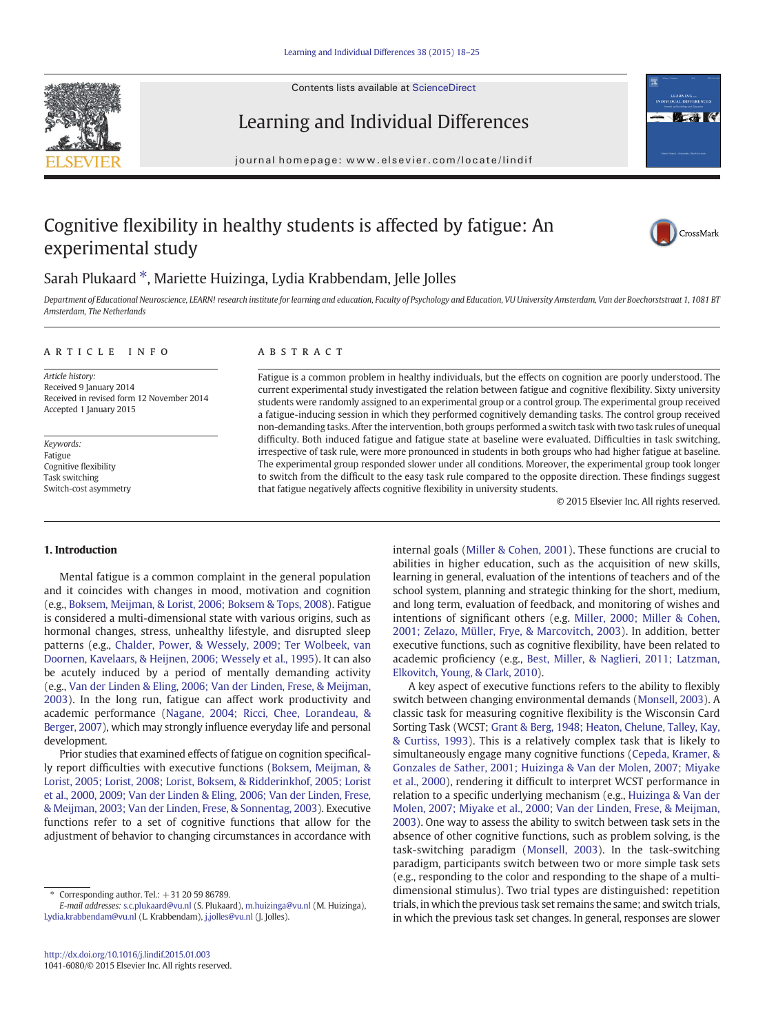Contents lists available at [ScienceDirect](http://www.sciencedirect.com/science/journal/10416080)





# Learning and Individual Differences

journal homepage: www.elsevier.com/locate/lindif

# Cognitive flexibility in healthy students is affected by fatigue: An experimental study



## Sarah Plukaard  $*$ , Mariette Huizinga, Lydia Krabbendam, Jelle Jolles

Department of Educational Neuroscience, LEARN! research institute for learning and education, Faculty of Psychology and Education, VU University Amsterdam, Van der Boechorststraat 1, 1081 BT Amsterdam, The Netherlands

#### article info abstract

Article history: Received 9 January 2014 Received in revised form 12 November 2014 Accepted 1 January 2015

Keywords: Fatigue Cognitive flexibility Task switching Switch-cost asymmetry

Fatigue is a common problem in healthy individuals, but the effects on cognition are poorly understood. The current experimental study investigated the relation between fatigue and cognitive flexibility. Sixty university students were randomly assigned to an experimental group or a control group. The experimental group received a fatigue-inducing session in which they performed cognitively demanding tasks. The control group received non-demanding tasks. After the intervention, both groups performed a switch task with two task rules of unequal difficulty. Both induced fatigue and fatigue state at baseline were evaluated. Difficulties in task switching, irrespective of task rule, were more pronounced in students in both groups who had higher fatigue at baseline. The experimental group responded slower under all conditions. Moreover, the experimental group took longer to switch from the difficult to the easy task rule compared to the opposite direction. These findings suggest that fatigue negatively affects cognitive flexibility in university students.

© 2015 Elsevier Inc. All rights reserved.

#### 1. Introduction

Mental fatigue is a common complaint in the general population and it coincides with changes in mood, motivation and cognition (e.g., [Boksem, Meijman, & Lorist, 2006; Boksem & Tops, 2008](#page-6-0)). Fatigue is considered a multi-dimensional state with various origins, such as hormonal changes, stress, unhealthy lifestyle, and disrupted sleep patterns (e.g., [Chalder, Power, & Wessely, 2009; Ter Wolbeek, van](#page-6-0) [Doornen, Kavelaars, & Heijnen, 2006; Wessely et al., 1995](#page-6-0)). It can also be acutely induced by a period of mentally demanding activity (e.g., [Van der Linden & Eling, 2006; Van der Linden, Frese, & Meijman,](#page-6-0) [2003](#page-6-0)). In the long run, fatigue can affect work productivity and academic performance ([Nagane, 2004; Ricci, Chee, Lorandeau, &](#page-6-0) [Berger, 2007](#page-6-0)), which may strongly influence everyday life and personal development.

Prior studies that examined effects of fatigue on cognition specifically report difficulties with executive functions ([Boksem, Meijman, &](#page-6-0) [Lorist, 2005; Lorist, 2008; Lorist, Boksem, & Ridderinkhof, 2005; Lorist](#page-6-0) [et al., 2000, 2009; Van der Linden & Eling, 2006; Van der Linden, Frese,](#page-6-0) [& Meijman, 2003; Van der Linden, Frese, & Sonnentag, 2003\)](#page-6-0). Executive functions refer to a set of cognitive functions that allow for the adjustment of behavior to changing circumstances in accordance with

internal goals [\(Miller & Cohen, 2001](#page-6-0)). These functions are crucial to abilities in higher education, such as the acquisition of new skills, learning in general, evaluation of the intentions of teachers and of the school system, planning and strategic thinking for the short, medium, and long term, evaluation of feedback, and monitoring of wishes and intentions of significant others (e.g. [Miller, 2000; Miller & Cohen,](#page-6-0) [2001; Zelazo, Müller, Frye, & Marcovitch, 2003\)](#page-6-0). In addition, better executive functions, such as cognitive flexibility, have been related to academic proficiency (e.g., [Best, Miller, & Naglieri, 2011; Latzman,](#page-6-0) [Elkovitch, Young, & Clark, 2010](#page-6-0)).

A key aspect of executive functions refers to the ability to flexibly switch between changing environmental demands ([Monsell, 2003](#page-6-0)). A classic task for measuring cognitive flexibility is the Wisconsin Card Sorting Task (WCST; [Grant & Berg, 1948; Heaton, Chelune, Talley, Kay,](#page-6-0) [& Curtiss, 1993](#page-6-0)). This is a relatively complex task that is likely to simultaneously engage many cognitive functions [\(Cepeda, Kramer, &](#page-6-0) [Gonzales de Sather, 2001; Huizinga & Van der Molen, 2007; Miyake](#page-6-0) [et al., 2000](#page-6-0)), rendering it difficult to interpret WCST performance in relation to a specific underlying mechanism (e.g., [Huizinga & Van der](#page-6-0) [Molen, 2007; Miyake et al., 2000; Van der Linden, Frese, & Meijman,](#page-6-0) [2003\)](#page-6-0). One way to assess the ability to switch between task sets in the absence of other cognitive functions, such as problem solving, is the task-switching paradigm ([Monsell, 2003](#page-6-0)). In the task-switching paradigm, participants switch between two or more simple task sets (e.g., responding to the color and responding to the shape of a multidimensional stimulus). Two trial types are distinguished: repetition trials, in which the previous task set remains the same; and switch trials, in which the previous task set changes. In general, responses are slower

<sup>⁎</sup> Corresponding author. Tel.: +31 20 59 86789.

E-mail addresses: [s.c.plukaard@vu.nl](mailto:s.c.plukaard@vu.nl) (S. Plukaard), [m.huizinga@vu.nl](mailto:m.huizinga@vu.nl) (M. Huizinga), [Lydia.krabbendam@vu.nl](mailto:Lydia.krabbendam@vu.nl) (L. Krabbendam), [j.jolles@vu.nl](mailto:j.jolles@vu.nl) (J. Jolles).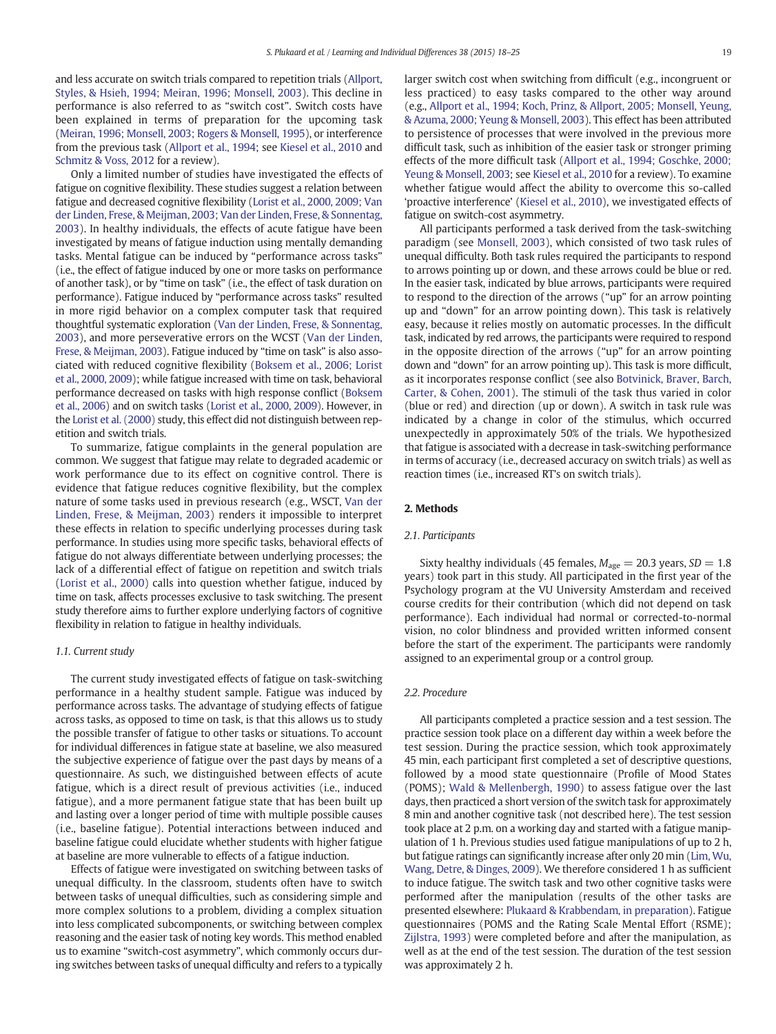and less accurate on switch trials compared to repetition trials [\(Allport,](#page-6-0) [Styles, & Hsieh, 1994; Meiran, 1996; Monsell, 2003\)](#page-6-0). This decline in performance is also referred to as "switch cost". Switch costs have been explained in terms of preparation for the upcoming task [\(Meiran, 1996; Monsell, 2003; Rogers & Monsell, 1995](#page-6-0)), or interference from the previous task ([Allport et al., 1994](#page-6-0); see [Kiesel et al., 2010](#page-6-0) and [Schmitz & Voss, 2012](#page-6-0) for a review).

Only a limited number of studies have investigated the effects of fatigue on cognitive flexibility. These studies suggest a relation between fatigue and decreased cognitive flexibility [\(Lorist et al., 2000, 2009; Van](#page-6-0) [der Linden, Frese, & Meijman, 2003; Van der Linden, Frese, & Sonnentag,](#page-6-0) [2003\)](#page-6-0). In healthy individuals, the effects of acute fatigue have been investigated by means of fatigue induction using mentally demanding tasks. Mental fatigue can be induced by "performance across tasks" (i.e., the effect of fatigue induced by one or more tasks on performance of another task), or by "time on task" (i.e., the effect of task duration on performance). Fatigue induced by "performance across tasks" resulted in more rigid behavior on a complex computer task that required thoughtful systematic exploration [\(Van der Linden, Frese, & Sonnentag,](#page-6-0) [2003\)](#page-6-0), and more perseverative errors on the WCST ([Van der Linden,](#page-6-0) [Frese, & Meijman, 2003\)](#page-6-0). Fatigue induced by "time on task" is also associated with reduced cognitive flexibility ([Boksem et al., 2006; Lorist](#page-6-0) [et al., 2000, 2009](#page-6-0)); while fatigue increased with time on task, behavioral performance decreased on tasks with high response conflict [\(Boksem](#page-6-0) [et al., 2006\)](#page-6-0) and on switch tasks ([Lorist et al., 2000, 2009](#page-6-0)). However, in the [Lorist et al. \(2000\)](#page-6-0) study, this effect did not distinguish between repetition and switch trials.

To summarize, fatigue complaints in the general population are common. We suggest that fatigue may relate to degraded academic or work performance due to its effect on cognitive control. There is evidence that fatigue reduces cognitive flexibility, but the complex nature of some tasks used in previous research (e.g., WSCT, [Van der](#page-6-0) [Linden, Frese, & Meijman, 2003](#page-6-0)) renders it impossible to interpret these effects in relation to specific underlying processes during task performance. In studies using more specific tasks, behavioral effects of fatigue do not always differentiate between underlying processes; the lack of a differential effect of fatigue on repetition and switch trials [\(Lorist et al., 2000\)](#page-6-0) calls into question whether fatigue, induced by time on task, affects processes exclusive to task switching. The present study therefore aims to further explore underlying factors of cognitive flexibility in relation to fatigue in healthy individuals.

#### 1.1. Current study

The current study investigated effects of fatigue on task-switching performance in a healthy student sample. Fatigue was induced by performance across tasks. The advantage of studying effects of fatigue across tasks, as opposed to time on task, is that this allows us to study the possible transfer of fatigue to other tasks or situations. To account for individual differences in fatigue state at baseline, we also measured the subjective experience of fatigue over the past days by means of a questionnaire. As such, we distinguished between effects of acute fatigue, which is a direct result of previous activities (i.e., induced fatigue), and a more permanent fatigue state that has been built up and lasting over a longer period of time with multiple possible causes (i.e., baseline fatigue). Potential interactions between induced and baseline fatigue could elucidate whether students with higher fatigue at baseline are more vulnerable to effects of a fatigue induction.

Effects of fatigue were investigated on switching between tasks of unequal difficulty. In the classroom, students often have to switch between tasks of unequal difficulties, such as considering simple and more complex solutions to a problem, dividing a complex situation into less complicated subcomponents, or switching between complex reasoning and the easier task of noting key words. This method enabled us to examine "switch-cost asymmetry", which commonly occurs during switches between tasks of unequal difficulty and refers to a typically

larger switch cost when switching from difficult (e.g., incongruent or less practiced) to easy tasks compared to the other way around (e.g., [Allport et al., 1994; Koch, Prinz, & Allport, 2005; Monsell, Yeung,](#page-6-0) [& Azuma, 2000; Yeung & Monsell, 2003\)](#page-6-0). This effect has been attributed to persistence of processes that were involved in the previous more difficult task, such as inhibition of the easier task or stronger priming effects of the more difficult task ([Allport et al., 1994; Goschke, 2000;](#page-6-0) [Yeung & Monsell, 2003](#page-6-0); see [Kiesel et al., 2010](#page-6-0) for a review). To examine whether fatigue would affect the ability to overcome this so-called 'proactive interference' [\(Kiesel et al., 2010](#page-6-0)), we investigated effects of fatigue on switch-cost asymmetry.

All participants performed a task derived from the task-switching paradigm (see [Monsell, 2003\)](#page-6-0), which consisted of two task rules of unequal difficulty. Both task rules required the participants to respond to arrows pointing up or down, and these arrows could be blue or red. In the easier task, indicated by blue arrows, participants were required to respond to the direction of the arrows ("up" for an arrow pointing up and "down" for an arrow pointing down). This task is relatively easy, because it relies mostly on automatic processes. In the difficult task, indicated by red arrows, the participants were required to respond in the opposite direction of the arrows ("up" for an arrow pointing down and "down" for an arrow pointing up). This task is more difficult, as it incorporates response conflict (see also [Botvinick, Braver, Barch,](#page-6-0) [Carter, & Cohen, 2001](#page-6-0)). The stimuli of the task thus varied in color (blue or red) and direction (up or down). A switch in task rule was indicated by a change in color of the stimulus, which occurred unexpectedly in approximately 50% of the trials. We hypothesized that fatigue is associated with a decrease in task-switching performance in terms of accuracy (i.e., decreased accuracy on switch trials) as well as reaction times (i.e., increased RT's on switch trials).

#### 2. Methods

#### 2.1. Participants

Sixty healthy individuals (45 females,  $M_{\text{age}} = 20.3$  years,  $SD = 1.8$ years) took part in this study. All participated in the first year of the Psychology program at the VU University Amsterdam and received course credits for their contribution (which did not depend on task performance). Each individual had normal or corrected-to-normal vision, no color blindness and provided written informed consent before the start of the experiment. The participants were randomly assigned to an experimental group or a control group.

#### 2.2. Procedure

All participants completed a practice session and a test session. The practice session took place on a different day within a week before the test session. During the practice session, which took approximately 45 min, each participant first completed a set of descriptive questions, followed by a mood state questionnaire (Profile of Mood States (POMS); [Wald & Mellenbergh, 1990](#page-6-0)) to assess fatigue over the last days, then practiced a short version of the switch task for approximately 8 min and another cognitive task (not described here). The test session took place at 2 p.m. on a working day and started with a fatigue manipulation of 1 h. Previous studies used fatigue manipulations of up to 2 h, but fatigue ratings can significantly increase after only 20 min [\(Lim, Wu,](#page-6-0) [Wang, Detre, & Dinges, 2009\)](#page-6-0). We therefore considered 1 h as sufficient to induce fatigue. The switch task and two other cognitive tasks were performed after the manipulation (results of the other tasks are presented elsewhere: [Plukaard & Krabbendam, in preparation\)](#page-6-0). Fatigue questionnaires (POMS and the Rating Scale Mental Effort (RSME); [Zijlstra, 1993](#page-7-0)) were completed before and after the manipulation, as well as at the end of the test session. The duration of the test session was approximately 2 h.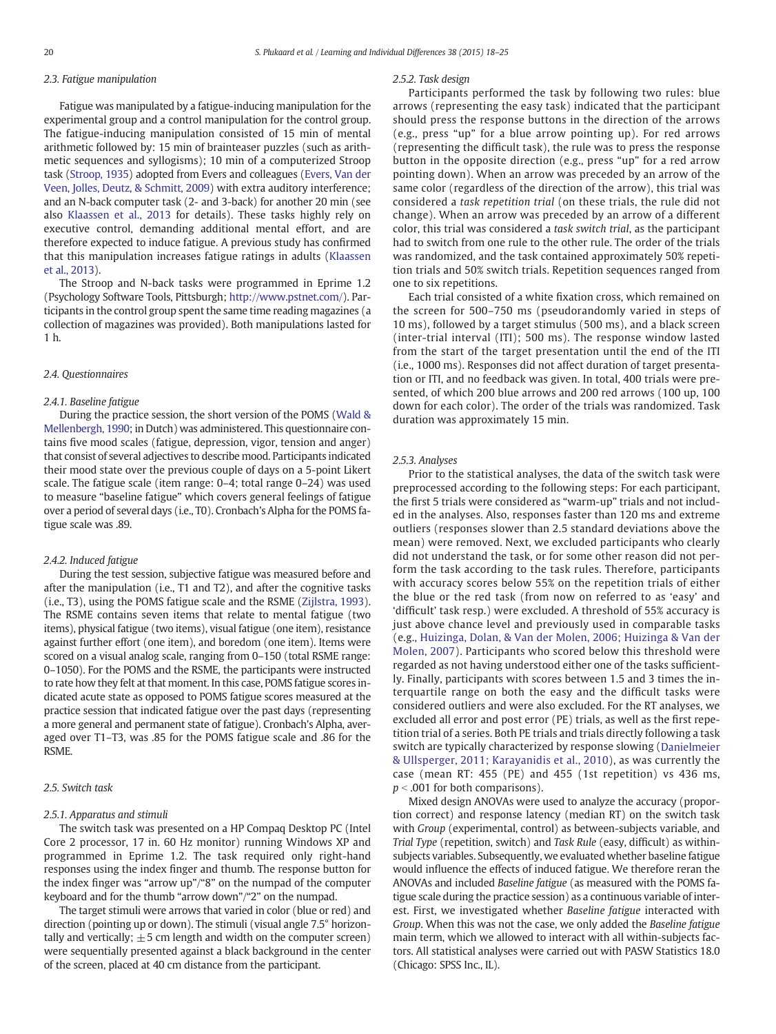#### 2.3. Fatigue manipulation

Fatigue was manipulated by a fatigue-inducing manipulation for the experimental group and a control manipulation for the control group. The fatigue-inducing manipulation consisted of 15 min of mental arithmetic followed by: 15 min of brainteaser puzzles (such as arithmetic sequences and syllogisms); 10 min of a computerized Stroop task ([Stroop, 1935\)](#page-6-0) adopted from Evers and colleagues [\(Evers, Van der](#page-6-0) [Veen, Jolles, Deutz, & Schmitt, 2009\)](#page-6-0) with extra auditory interference; and an N-back computer task (2- and 3-back) for another 20 min (see also [Klaassen et al., 2013](#page-6-0) for details). These tasks highly rely on executive control, demanding additional mental effort, and are therefore expected to induce fatigue. A previous study has confirmed that this manipulation increases fatigue ratings in adults ([Klaassen](#page-6-0) [et al., 2013](#page-6-0)).

The Stroop and N-back tasks were programmed in Eprime 1.2 (Psychology Software Tools, Pittsburgh; [http://www.pstnet.com/\)](http://www.pstnet.com/). Participants in the control group spent the same time reading magazines (a collection of magazines was provided). Both manipulations lasted for 1 h.

#### 2.4. Questionnaires

#### 2.4.1. Baseline fatigue

During the practice session, the short version of the POMS [\(Wald &](#page-6-0) [Mellenbergh, 1990](#page-6-0); in Dutch) was administered. This questionnaire contains five mood scales (fatigue, depression, vigor, tension and anger) that consist of several adjectives to describe mood. Participants indicated their mood state over the previous couple of days on a 5-point Likert scale. The fatigue scale (item range: 0–4; total range 0–24) was used to measure "baseline fatigue" which covers general feelings of fatigue over a period of several days (i.e., T0). Cronbach's Alpha for the POMS fatigue scale was .89.

#### 2.4.2. Induced fatigue

During the test session, subjective fatigue was measured before and after the manipulation (i.e., T1 and T2), and after the cognitive tasks (i.e., T3), using the POMS fatigue scale and the RSME ([Zijlstra, 1993](#page-7-0)). The RSME contains seven items that relate to mental fatigue (two items), physical fatigue (two items), visual fatigue (one item), resistance against further effort (one item), and boredom (one item). Items were scored on a visual analog scale, ranging from 0–150 (total RSME range: 0–1050). For the POMS and the RSME, the participants were instructed to rate how they felt at that moment. In this case, POMS fatigue scores indicated acute state as opposed to POMS fatigue scores measured at the practice session that indicated fatigue over the past days (representing a more general and permanent state of fatigue). Cronbach's Alpha, averaged over T1–T3, was .85 for the POMS fatigue scale and .86 for the RSME.

#### 2.5. Switch task

#### 2.5.1. Apparatus and stimuli

The switch task was presented on a HP Compaq Desktop PC (Intel Core 2 processor, 17 in. 60 Hz monitor) running Windows XP and programmed in Eprime 1.2. The task required only right-hand responses using the index finger and thumb. The response button for the index finger was "arrow up"/"8" on the numpad of the computer keyboard and for the thumb "arrow down"/"2" on the numpad.

The target stimuli were arrows that varied in color (blue or red) and direction (pointing up or down). The stimuli (visual angle 7.5° horizontally and vertically;  $\pm$  5 cm length and width on the computer screen) were sequentially presented against a black background in the center of the screen, placed at 40 cm distance from the participant.

#### 2.5.2. Task design

Participants performed the task by following two rules: blue arrows (representing the easy task) indicated that the participant should press the response buttons in the direction of the arrows (e.g., press "up" for a blue arrow pointing up). For red arrows (representing the difficult task), the rule was to press the response button in the opposite direction (e.g., press "up" for a red arrow pointing down). When an arrow was preceded by an arrow of the same color (regardless of the direction of the arrow), this trial was considered a task repetition trial (on these trials, the rule did not change). When an arrow was preceded by an arrow of a different color, this trial was considered a task switch trial, as the participant had to switch from one rule to the other rule. The order of the trials was randomized, and the task contained approximately 50% repetition trials and 50% switch trials. Repetition sequences ranged from one to six repetitions.

Each trial consisted of a white fixation cross, which remained on the screen for 500–750 ms (pseudorandomly varied in steps of 10 ms), followed by a target stimulus (500 ms), and a black screen (inter-trial interval (ITI); 500 ms). The response window lasted from the start of the target presentation until the end of the ITI (i.e., 1000 ms). Responses did not affect duration of target presentation or ITI, and no feedback was given. In total, 400 trials were presented, of which 200 blue arrows and 200 red arrows (100 up, 100 down for each color). The order of the trials was randomized. Task duration was approximately 15 min.

#### 2.5.3. Analyses

Prior to the statistical analyses, the data of the switch task were preprocessed according to the following steps: For each participant, the first 5 trials were considered as "warm-up" trials and not included in the analyses. Also, responses faster than 120 ms and extreme outliers (responses slower than 2.5 standard deviations above the mean) were removed. Next, we excluded participants who clearly did not understand the task, or for some other reason did not perform the task according to the task rules. Therefore, participants with accuracy scores below 55% on the repetition trials of either the blue or the red task (from now on referred to as 'easy' and 'difficult' task resp.) were excluded. A threshold of 55% accuracy is just above chance level and previously used in comparable tasks (e.g., [Huizinga, Dolan, & Van der Molen, 2006; Huizinga & Van der](#page-6-0) [Molen, 2007](#page-6-0)). Participants who scored below this threshold were regarded as not having understood either one of the tasks sufficiently. Finally, participants with scores between 1.5 and 3 times the interquartile range on both the easy and the difficult tasks were considered outliers and were also excluded. For the RT analyses, we excluded all error and post error (PE) trials, as well as the first repetition trial of a series. Both PE trials and trials directly following a task switch are typically characterized by response slowing ([Danielmeier](#page-6-0) [& Ullsperger, 2011; Karayanidis et al., 2010](#page-6-0)), as was currently the case (mean RT: 455 (PE) and 455 (1st repetition) vs 436 ms,  $p < .001$  for both comparisons).

Mixed design ANOVAs were used to analyze the accuracy (proportion correct) and response latency (median RT) on the switch task with Group (experimental, control) as between-subjects variable, and Trial Type (repetition, switch) and Task Rule (easy, difficult) as withinsubjects variables. Subsequently, we evaluated whether baseline fatigue would influence the effects of induced fatigue. We therefore reran the ANOVAs and included Baseline fatigue (as measured with the POMS fatigue scale during the practice session) as a continuous variable of interest. First, we investigated whether Baseline fatigue interacted with Group. When this was not the case, we only added the Baseline fatigue main term, which we allowed to interact with all within-subjects factors. All statistical analyses were carried out with PASW Statistics 18.0 (Chicago: SPSS Inc., IL).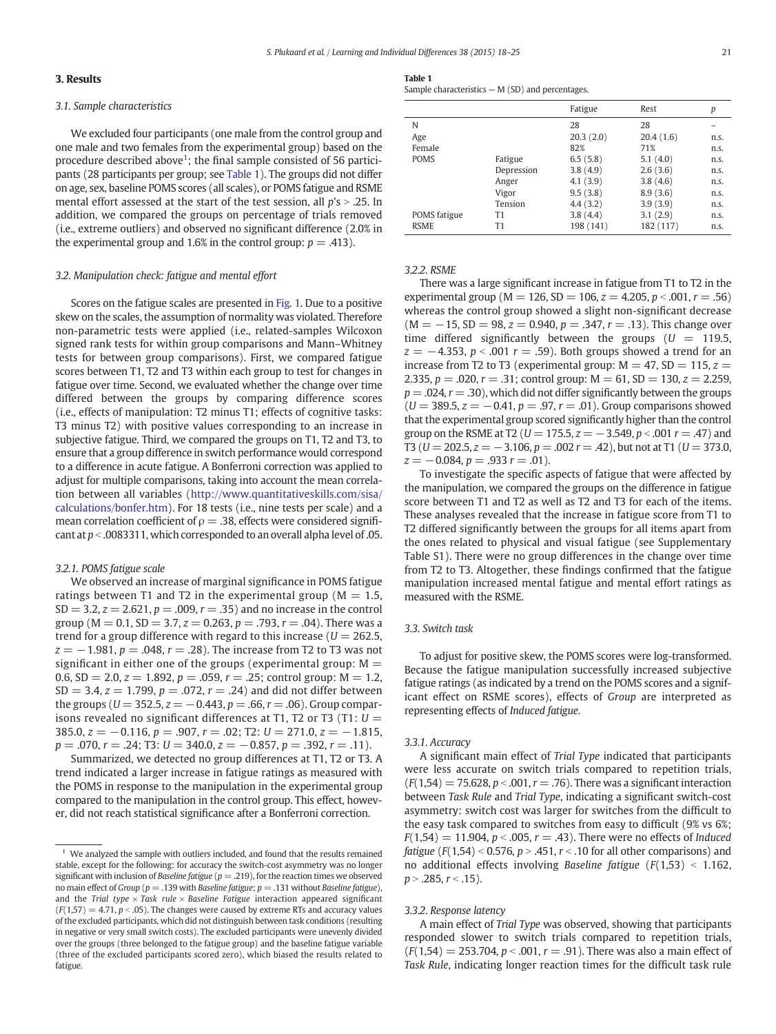### 3. Results

#### 3.1. Sample characteristics

We excluded four participants (one male from the control group and one male and two females from the experimental group) based on the procedure described above<sup>1</sup>; the final sample consisted of 56 participants (28 participants per group; see Table 1). The groups did not differ on age, sex, baseline POMS scores (all scales), or POMS fatigue and RSME mental effort assessed at the start of the test session, all  $p$ 's  $> .25$ . In addition, we compared the groups on percentage of trials removed (i.e., extreme outliers) and observed no significant difference (2.0% in the experimental group and 1.6% in the control group:  $p = .413$ ).

#### 3.2. Manipulation check: fatigue and mental effort

Scores on the fatigue scales are presented in [Fig. 1.](#page-4-0) Due to a positive skew on the scales, the assumption of normality was violated. Therefore non-parametric tests were applied (i.e., related-samples Wilcoxon signed rank tests for within group comparisons and Mann–Whitney tests for between group comparisons). First, we compared fatigue scores between T1, T2 and T3 within each group to test for changes in fatigue over time. Second, we evaluated whether the change over time differed between the groups by comparing difference scores (i.e., effects of manipulation: T2 minus T1; effects of cognitive tasks: T3 minus T2) with positive values corresponding to an increase in subjective fatigue. Third, we compared the groups on T1, T2 and T3, to ensure that a group difference in switch performance would correspond to a difference in acute fatigue. A Bonferroni correction was applied to adjust for multiple comparisons, taking into account the mean correlation between all variables [\(http://www.quantitativeskills.com/sisa/](http://www.quantitativeskills.com/sisa/calculations/bonfer.htm) [calculations/bonfer.htm\)](http://www.quantitativeskills.com/sisa/calculations/bonfer.htm). For 18 tests (i.e., nine tests per scale) and a mean correlation coefficient of  $\rho = 0.38$ , effects were considered significant at  $p <$  .0083311, which corresponded to an overall alpha level of .05.

#### 3.2.1. POMS fatigue scale

We observed an increase of marginal significance in POMS fatigue ratings between T1 and T2 in the experimental group ( $M = 1.5$ ,  $SD = 3.2, z = 2.621, p = .009, r = .35$  and no increase in the control group ( $M = 0.1$ ,  $SD = 3.7$ ,  $z = 0.263$ ,  $p = .793$ ,  $r = .04$ ). There was a trend for a group difference with regard to this increase ( $U = 262.5$ ,  $z = -1.981$ ,  $p = .048$ ,  $r = .28$ ). The increase from T2 to T3 was not significant in either one of the groups (experimental group:  $M =$ 0.6, SD = 2.0,  $z = 1.892$ ,  $p = .059$ ,  $r = .25$ ; control group: M = 1.2,  $SD = 3.4, z = 1.799, p = .072, r = .24$  and did not differ between the groups ( $U = 352.5$ ,  $z = -0.443$ ,  $p = .66$ ,  $r = .06$ ). Group comparisons revealed no significant differences at T1, T2 or T3 (T1:  $U =$  $385.0, z = -0.116, p = .907, r = .02$ ; T2:  $U = 271.0, z = -1.815,$  $p = .070$ ,  $r = .24$ ; T3:  $U = 340.0$ ,  $z = -0.857$ ,  $p = .392$ ,  $r = .11$ ).

Summarized, we detected no group differences at T1, T2 or T3. A trend indicated a larger increase in fatigue ratings as measured with the POMS in response to the manipulation in the experimental group compared to the manipulation in the control group. This effect, however, did not reach statistical significance after a Bonferroni correction.

Table 1 Sample characteristics — M (SD) and percentages.

|              |            | Fatigue   | Rest      | р    |
|--------------|------------|-----------|-----------|------|
| N            |            | 28        | 28        |      |
| Age          |            | 20.3(2.0) | 20.4(1.6) | n.s. |
| Female       |            | 82%       | 71%       | n.s. |
| <b>POMS</b>  | Fatigue    | 6.5(5.8)  | 5.1(4.0)  | n.s. |
|              | Depression | 3.8(4.9)  | 2.6(3.6)  | n.s. |
|              | Anger      | 4.1(3.9)  | 3.8(4.6)  | n.s. |
|              | Vigor      | 9.5(3.8)  | 8.9(3.6)  | n.s. |
|              | Tension    | 4.4(3.2)  | 3.9(3.9)  | n.s. |
| POMS fatigue | T1         | 3.8(4.4)  | 3.1(2.9)  | n.s. |
| <b>RSME</b>  | T1         | 198 (141) | 182 (117) | n.s. |

#### 3.2.2. RSME

There was a large significant increase in fatigue from T1 to T2 in the experimental group ( $M = 126$ ,  $SD = 106$ ,  $z = 4.205$ ,  $p < .001$ ,  $r = .56$ ) whereas the control group showed a slight non-significant decrease  $(M = -15, SD = 98, z = 0.940, p = .347, r = .13)$ . This change over time differed significantly between the groups ( $U = 119.5$ ,  $z = -4.353$ ,  $p < .001$  r = .59). Both groups showed a trend for an increase from T2 to T3 (experimental group:  $M = 47$ , SD = 115,  $z =$ 2.335,  $p = 0.020$ ,  $r = 0.31$ ; control group:  $M = 61$ ,  $SD = 130$ ,  $z = 2.259$ ,  $p = 0.024$ ,  $r = 0.30$ , which did not differ significantly between the groups  $(U = 389.5, z = -0.41, p = .97, r = .01)$ . Group comparisons showed that the experimental group scored significantly higher than the control group on the RSME at T2 ( $U = 175.5$ ,  $z = -3.549$ ,  $p < .001$   $r = .47$ ) and T3 ( $U = 202.5$ ,  $z = -3.106$ ,  $p = .002$   $r = .42$ ), but not at T1 ( $U = 373.0$ ,  $z = -0.084, p = .933$   $r = .01$ ).

To investigate the specific aspects of fatigue that were affected by the manipulation, we compared the groups on the difference in fatigue score between T1 and T2 as well as T2 and T3 for each of the items. These analyses revealed that the increase in fatigue score from T1 to T2 differed significantly between the groups for all items apart from the ones related to physical and visual fatigue (see Supplementary Table S1). There were no group differences in the change over time from T2 to T3. Altogether, these findings confirmed that the fatigue manipulation increased mental fatigue and mental effort ratings as measured with the RSME.

#### 3.3. Switch task

To adjust for positive skew, the POMS scores were log-transformed. Because the fatigue manipulation successfully increased subjective fatigue ratings (as indicated by a trend on the POMS scores and a significant effect on RSME scores), effects of Group are interpreted as representing effects of Induced fatigue.

#### 3.3.1. Accuracy

A significant main effect of Trial Type indicated that participants were less accurate on switch trials compared to repetition trials,  $(F(1,54) = 75.628, p < .001, r = .76)$ . There was a significant interaction between Task Rule and Trial Type, indicating a significant switch-cost asymmetry: switch cost was larger for switches from the difficult to the easy task compared to switches from easy to difficult (9% vs 6%;  $F(1,54) = 11.904$ ,  $p < .005$ ,  $r = .43$ ). There were no effects of Induced *fatigue* ( $F(1,54) < 0.576$ ,  $p > .451$ ,  $r < .10$  for all other comparisons) and no additional effects involving Baseline fatigue  $(F(1,53) < 1.162,$  $p > .285$ ,  $r < .15$ ).

#### 3.3.2. Response latency

A main effect of Trial Type was observed, showing that participants responded slower to switch trials compared to repetition trials,  $(F(1,54) = 253.704, p < .001, r = .91)$ . There was also a main effect of Task Rule, indicating longer reaction times for the difficult task rule

We analyzed the sample with outliers included, and found that the results remained stable, except for the following: for accuracy the switch-cost asymmetry was no longer significant with inclusion of Baseline fatigue ( $p = .219$ ), for the reaction times we observed no main effect of Group ( $p = .139$  with Baseline fatigue;  $p = .131$  without Baseline fatigue), and the Trial type  $\times$  Task rule  $\times$  Baseline Fatigue interaction appeared significant  $(F(1,57) = 4.71, p < .05)$ . The changes were caused by extreme RTs and accuracy values of the excluded participants, which did not distinguish between task conditions (resulting in negative or very small switch costs). The excluded participants were unevenly divided over the groups (three belonged to the fatigue group) and the baseline fatigue variable (three of the excluded participants scored zero), which biased the results related to fatigue.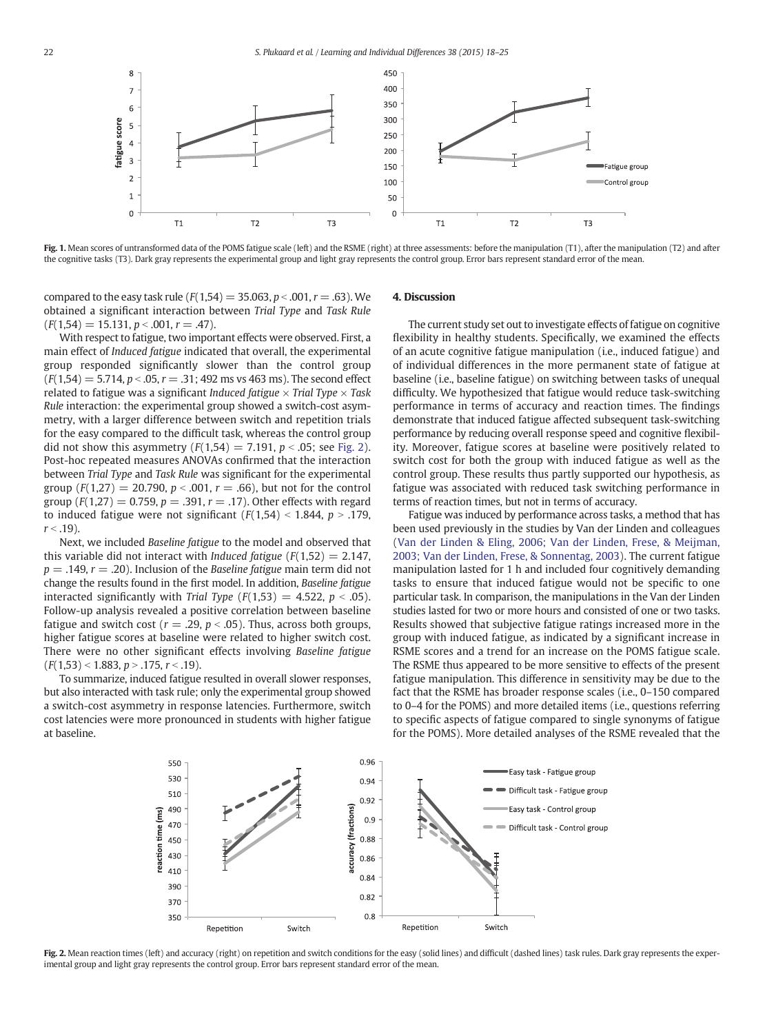<span id="page-4-0"></span>

Fig. 1. Mean scores of untransformed data of the POMS fatigue scale (left) and the RSME (right) at three assessments: before the manipulation (T1), after the manipulation (T2) and after the cognitive tasks (T3). Dark gray represents the experimental group and light gray represents the control group. Error bars represent standard error of the mean.

compared to the easy task rule ( $F(1,54) = 35.063$ ,  $p < .001$ ,  $r = .63$ ). We obtained a significant interaction between Trial Type and Task Rule  $(F(1,54) = 15.131, p < .001, r = .47).$ 

With respect to fatigue, two important effects were observed. First, a main effect of Induced fatigue indicated that overall, the experimental group responded significantly slower than the control group  $(F(1,54) = 5.714, p < .05, r = .31; 492 \text{ ms vs } 463 \text{ ms})$ . The second effect related to fatigue was a significant *Induced fatigue*  $\times$  *Trial Type*  $\times$  *Task* Rule interaction: the experimental group showed a switch-cost asymmetry, with a larger difference between switch and repetition trials for the easy compared to the difficult task, whereas the control group did not show this asymmetry  $(F(1,54) = 7.191, p < .05;$  see Fig. 2). Post-hoc repeated measures ANOVAs confirmed that the interaction between Trial Type and Task Rule was significant for the experimental group ( $F(1,27) = 20.790$ ,  $p < .001$ ,  $r = .66$ ), but not for the control group ( $F(1,27) = 0.759$ ,  $p = .391$ ,  $r = .17$ ). Other effects with regard to induced fatigue were not significant  $(F(1,54) < 1.844, p > .179,$  $r < .19$ ).

Next, we included Baseline fatigue to the model and observed that this variable did not interact with *Induced fatigue*  $(F(1,52) = 2.147$ ,  $p = .149$ ,  $r = .20$ ). Inclusion of the Baseline fatigue main term did not change the results found in the first model. In addition, Baseline fatigue interacted significantly with Trial Type  $(F(1,53) = 4.522, p < .05)$ . Follow-up analysis revealed a positive correlation between baseline fatigue and switch cost ( $r = .29$ ,  $p < .05$ ). Thus, across both groups, higher fatigue scores at baseline were related to higher switch cost. There were no other significant effects involving Baseline fatigue  $(F(1,53) < 1.883, p > .175, r < .19).$ 

To summarize, induced fatigue resulted in overall slower responses, but also interacted with task rule; only the experimental group showed a switch-cost asymmetry in response latencies. Furthermore, switch cost latencies were more pronounced in students with higher fatigue at baseline.

#### 4. Discussion

The current study set out to investigate effects of fatigue on cognitive flexibility in healthy students. Specifically, we examined the effects of an acute cognitive fatigue manipulation (i.e., induced fatigue) and of individual differences in the more permanent state of fatigue at baseline (i.e., baseline fatigue) on switching between tasks of unequal difficulty. We hypothesized that fatigue would reduce task-switching performance in terms of accuracy and reaction times. The findings demonstrate that induced fatigue affected subsequent task-switching performance by reducing overall response speed and cognitive flexibility. Moreover, fatigue scores at baseline were positively related to switch cost for both the group with induced fatigue as well as the control group. These results thus partly supported our hypothesis, as fatigue was associated with reduced task switching performance in terms of reaction times, but not in terms of accuracy.

Fatigue was induced by performance across tasks, a method that has been used previously in the studies by Van der Linden and colleagues [\(Van der Linden & Eling, 2006; Van der Linden, Frese, & Meijman,](#page-6-0) [2003; Van der Linden, Frese, & Sonnentag, 2003\)](#page-6-0). The current fatigue manipulation lasted for 1 h and included four cognitively demanding tasks to ensure that induced fatigue would not be specific to one particular task. In comparison, the manipulations in the Van der Linden studies lasted for two or more hours and consisted of one or two tasks. Results showed that subjective fatigue ratings increased more in the group with induced fatigue, as indicated by a significant increase in RSME scores and a trend for an increase on the POMS fatigue scale. The RSME thus appeared to be more sensitive to effects of the present fatigue manipulation. This difference in sensitivity may be due to the fact that the RSME has broader response scales (i.e., 0–150 compared to 0–4 for the POMS) and more detailed items (i.e., questions referring to specific aspects of fatigue compared to single synonyms of fatigue for the POMS). More detailed analyses of the RSME revealed that the



Fig. 2. Mean reaction times (left) and accuracy (right) on repetition and switch conditions for the easy (solid lines) and difficult (dashed lines) task rules. Dark gray represents the experimental group and light gray represents the control group. Error bars represent standard error of the mean.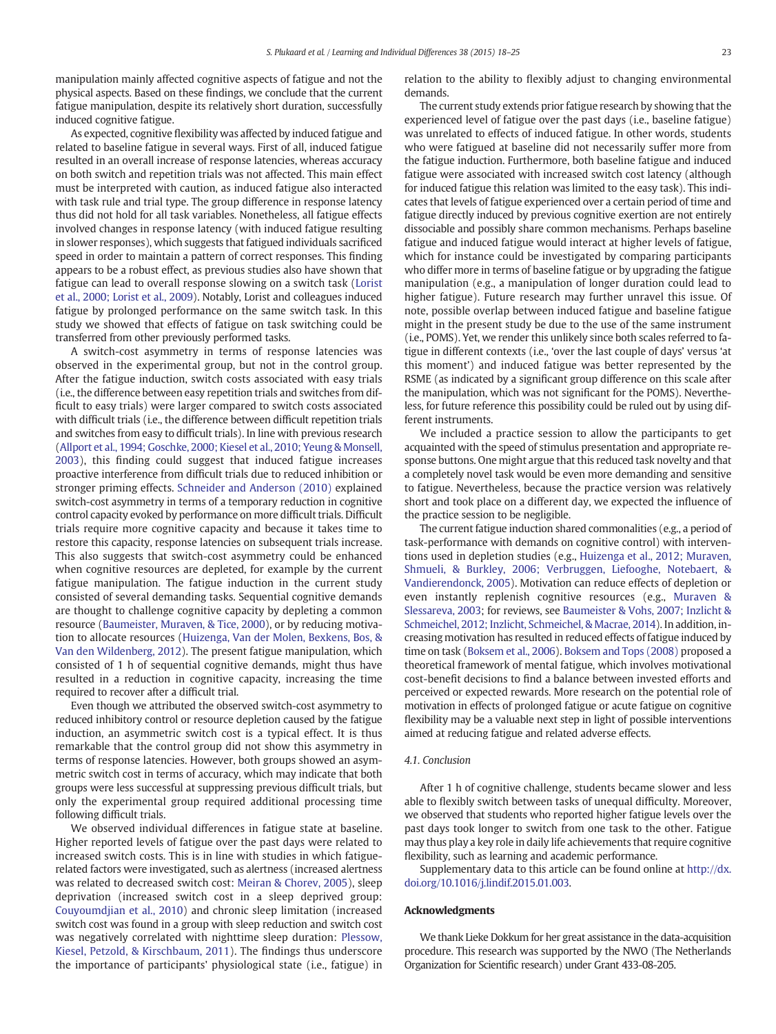manipulation mainly affected cognitive aspects of fatigue and not the physical aspects. Based on these findings, we conclude that the current fatigue manipulation, despite its relatively short duration, successfully induced cognitive fatigue.

As expected, cognitive flexibility was affected by induced fatigue and related to baseline fatigue in several ways. First of all, induced fatigue resulted in an overall increase of response latencies, whereas accuracy on both switch and repetition trials was not affected. This main effect must be interpreted with caution, as induced fatigue also interacted with task rule and trial type. The group difference in response latency thus did not hold for all task variables. Nonetheless, all fatigue effects involved changes in response latency (with induced fatigue resulting in slower responses), which suggests that fatigued individuals sacrificed speed in order to maintain a pattern of correct responses. This finding appears to be a robust effect, as previous studies also have shown that fatigue can lead to overall response slowing on a switch task ([Lorist](#page-6-0) [et al., 2000; Lorist et al., 2009](#page-6-0)). Notably, Lorist and colleagues induced fatigue by prolonged performance on the same switch task. In this study we showed that effects of fatigue on task switching could be transferred from other previously performed tasks.

A switch-cost asymmetry in terms of response latencies was observed in the experimental group, but not in the control group. After the fatigue induction, switch costs associated with easy trials (i.e., the difference between easy repetition trials and switches from difficult to easy trials) were larger compared to switch costs associated with difficult trials (i.e., the difference between difficult repetition trials and switches from easy to difficult trials). In line with previous research [\(Allport et al., 1994; Goschke, 2000; Kiesel et al., 2010; Yeung & Monsell,](#page-6-0) [2003\)](#page-6-0), this finding could suggest that induced fatigue increases proactive interference from difficult trials due to reduced inhibition or stronger priming effects. [Schneider and Anderson \(2010\)](#page-6-0) explained switch-cost asymmetry in terms of a temporary reduction in cognitive control capacity evoked by performance on more difficult trials. Difficult trials require more cognitive capacity and because it takes time to restore this capacity, response latencies on subsequent trials increase. This also suggests that switch-cost asymmetry could be enhanced when cognitive resources are depleted, for example by the current fatigue manipulation. The fatigue induction in the current study consisted of several demanding tasks. Sequential cognitive demands are thought to challenge cognitive capacity by depleting a common resource ([Baumeister, Muraven, & Tice, 2000](#page-6-0)), or by reducing motivation to allocate resources [\(Huizenga, Van der Molen, Bexkens, Bos, &](#page-6-0) [Van den Wildenberg, 2012](#page-6-0)). The present fatigue manipulation, which consisted of 1 h of sequential cognitive demands, might thus have resulted in a reduction in cognitive capacity, increasing the time required to recover after a difficult trial.

Even though we attributed the observed switch-cost asymmetry to reduced inhibitory control or resource depletion caused by the fatigue induction, an asymmetric switch cost is a typical effect. It is thus remarkable that the control group did not show this asymmetry in terms of response latencies. However, both groups showed an asymmetric switch cost in terms of accuracy, which may indicate that both groups were less successful at suppressing previous difficult trials, but only the experimental group required additional processing time following difficult trials.

We observed individual differences in fatigue state at baseline. Higher reported levels of fatigue over the past days were related to increased switch costs. This is in line with studies in which fatiguerelated factors were investigated, such as alertness (increased alertness was related to decreased switch cost: [Meiran & Chorev, 2005\)](#page-6-0), sleep deprivation (increased switch cost in a sleep deprived group: [Couyoumdjian et al., 2010\)](#page-6-0) and chronic sleep limitation (increased switch cost was found in a group with sleep reduction and switch cost was negatively correlated with nighttime sleep duration: [Plessow,](#page-6-0) [Kiesel, Petzold, & Kirschbaum, 2011](#page-6-0)). The findings thus underscore the importance of participants' physiological state (i.e., fatigue) in relation to the ability to flexibly adjust to changing environmental demands.

The current study extends prior fatigue research by showing that the experienced level of fatigue over the past days (i.e., baseline fatigue) was unrelated to effects of induced fatigue. In other words, students who were fatigued at baseline did not necessarily suffer more from the fatigue induction. Furthermore, both baseline fatigue and induced fatigue were associated with increased switch cost latency (although for induced fatigue this relation was limited to the easy task). This indicates that levels of fatigue experienced over a certain period of time and fatigue directly induced by previous cognitive exertion are not entirely dissociable and possibly share common mechanisms. Perhaps baseline fatigue and induced fatigue would interact at higher levels of fatigue, which for instance could be investigated by comparing participants who differ more in terms of baseline fatigue or by upgrading the fatigue manipulation (e.g., a manipulation of longer duration could lead to higher fatigue). Future research may further unravel this issue. Of note, possible overlap between induced fatigue and baseline fatigue might in the present study be due to the use of the same instrument (i.e., POMS). Yet, we render this unlikely since both scales referred to fatigue in different contexts (i.e., 'over the last couple of days' versus 'at this moment') and induced fatigue was better represented by the RSME (as indicated by a significant group difference on this scale after the manipulation, which was not significant for the POMS). Nevertheless, for future reference this possibility could be ruled out by using different instruments.

We included a practice session to allow the participants to get acquainted with the speed of stimulus presentation and appropriate response buttons. One might argue that this reduced task novelty and that a completely novel task would be even more demanding and sensitive to fatigue. Nevertheless, because the practice version was relatively short and took place on a different day, we expected the influence of the practice session to be negligible.

The current fatigue induction shared commonalities (e.g., a period of task-performance with demands on cognitive control) with interventions used in depletion studies (e.g., [Huizenga et al., 2012; Muraven,](#page-6-0) [Shmueli, & Burkley, 2006; Verbruggen, Liefooghe, Notebaert, &](#page-6-0) [Vandierendonck, 2005\)](#page-6-0). Motivation can reduce effects of depletion or even instantly replenish cognitive resources (e.g., [Muraven &](#page-6-0) [Slessareva, 2003](#page-6-0); for reviews, see [Baumeister & Vohs, 2007; Inzlicht &](#page-6-0) [Schmeichel, 2012; Inzlicht, Schmeichel, & Macrae, 2014](#page-6-0)). In addition, increasing motivation has resulted in reduced effects of fatigue induced by time on task [\(Boksem et al., 2006](#page-6-0)). [Boksem and Tops \(2008\)](#page-6-0) proposed a theoretical framework of mental fatigue, which involves motivational cost-benefit decisions to find a balance between invested efforts and perceived or expected rewards. More research on the potential role of motivation in effects of prolonged fatigue or acute fatigue on cognitive flexibility may be a valuable next step in light of possible interventions aimed at reducing fatigue and related adverse effects.

#### 4.1. Conclusion

After 1 h of cognitive challenge, students became slower and less able to flexibly switch between tasks of unequal difficulty. Moreover, we observed that students who reported higher fatigue levels over the past days took longer to switch from one task to the other. Fatigue may thus play a key role in daily life achievements that require cognitive flexibility, such as learning and academic performance.

Supplementary data to this article can be found online at [http://dx.](http://dx.doi.org/10.1016/j.lindif.2015.01.003) [doi.org/10.1016/j.lindif.2015.01.003.](http://dx.doi.org/10.1016/j.lindif.2015.01.003)

#### Acknowledgments

We thank Lieke Dokkum for her great assistance in the data-acquisition procedure. This research was supported by the NWO (The Netherlands Organization for Scientific research) under Grant 433-08-205.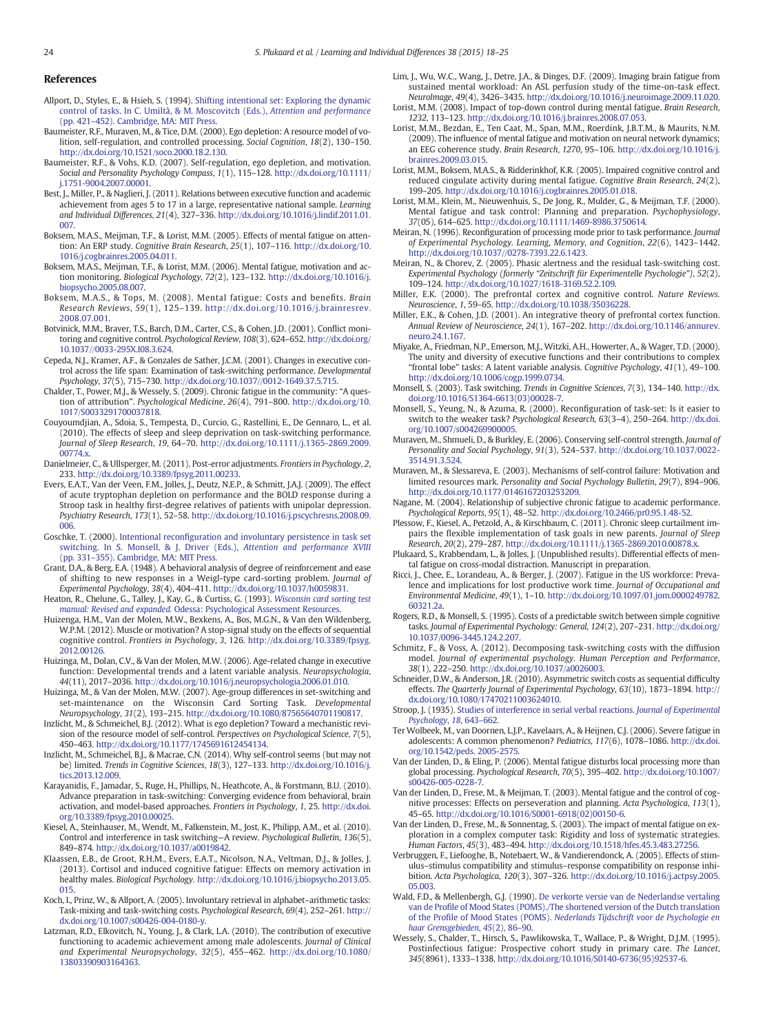#### <span id="page-6-0"></span>References

- Allport, D., Styles, E., & Hsieh, S. (1994). [Shifting intentional set: Exploring the dynamic](http://refhub.elsevier.com/S1041-6080(15)00008-4/rf0005) [control of tasks. In C. Umiltà, & M. Moscovitch \(Eds.\),](http://refhub.elsevier.com/S1041-6080(15)00008-4/rf0005) Attention and performance (pp. 421–[452\). Cambridge, MA: MIT Press.](http://refhub.elsevier.com/S1041-6080(15)00008-4/rf0005)
- Baumeister, R.F., Muraven, M., & Tice, D.M. (2000). Ego depletion: A resource model of volition, self-regulation, and controlled processing. Social Cognition, 18(2), 130–150. http://dx.doi.org[/10.1521/soco.2000.18.2.130.](http://dx.doi.org/10.1521/soco.2000.18.2.130)
- Baumeister, R.F., & Vohs, K.D. (2007). Self-regulation, ego depletion, and motivation. Social and Personality Psychology Compass, 1(1), 115–128. http://dx.doi.org/[10.1111/](http://dx.doi.org/10.1111/j.1751-9004.2007.00001) [j.1751-9004.2007.00001.](http://dx.doi.org/10.1111/j.1751-9004.2007.00001)
- Best, J., Miller, P., & Naglieri, J. (2011). Relations between executive function and academic achievement from ages 5 to 17 in a large, representative national sample. *Learning*<br>and Individual Differences, 21(4), 327–336. http://dx.doi.org[/10.1016/j.lindif.2011.01.](http://dx.doi.org/10.1016/j.lindif.2011.01.007) [007](http://dx.doi.org/10.1016/j.lindif.2011.01.007).
- Boksem, M.A.S., Meijman, T.F., & Lorist, M.M. (2005). Effects of mental fatigue on attention: An ERP study. Cognitive Brain Research, 25(1), 107–116. http://dx.doi.org[/10.](http://dx.doi.org/10.1016/j.cogbrainres.2005.04.011) [1016/j.cogbrainres.2005.04.011](http://dx.doi.org/10.1016/j.cogbrainres.2005.04.011).
- Boksem, M.A.S., Meijman, T.F., & Lorist, M.M. (2006). Mental fatigue, motivation and action monitoring. Biological Psychology, 72(2), 123–132. http://dx.doi.org[/10.1016/j.](http://dx.doi.org/10.1016/j.biopsycho.2005.08.007) [biopsycho.2005.08.007](http://dx.doi.org/10.1016/j.biopsycho.2005.08.007).
- Boksem, M.A.S., & Tops, M. (2008). Mental fatigue: Costs and benefits. Brain Research Reviews, 59(1), 125–139. http://dx.doi.org/[10.1016/j.brainresrev.](http://dx.doi.org/10.1016/j.brainresrev.2008.07.001) [2008.07.001.](http://dx.doi.org/10.1016/j.brainresrev.2008.07.001)
- Botvinick, M.M., Braver, T.S., Barch, D.M., Carter, C.S., & Cohen, J.D. (2001). Conflict monitoring and cognitive control. Psychological Review, 108(3), 624–652. http://dx.doi.org/ [10.1037//0033-295X.I08.3.624.](http://dx.doi.org/10.1037//0033-295X.I08.3.624)
- Cepeda, N.J., Kramer, A.F., & Gonzales de Sather, J.C.M. (2001). Changes in executive control across the life span: Examination of task-switching performance. Developmental Psychology, 37(5), 715–730. http://dx.doi.org/[10.1037//0012-1649.37.5.715](http://dx.doi.org/10.1037//0012-1649.37.5.715).
- Chalder, T., Power, M.J., & Wessely, S. (2009). Chronic fatigue in the community: "A question of attribution". Psychological Medicine, 26(4), 791–800. http://dx.doi.org/[10.](http://dx.doi.org/10.1017/S0033291700037818) [1017/S0033291700037818](http://dx.doi.org/10.1017/S0033291700037818).
- Couyoumdjian, A., Sdoia, S., Tempesta, D., Curcio, G., Rastellini, E., De Gennaro, L., et al. (2010). The effects of sleep and sleep deprivation on task-switching performance. Journal of Sleep Research, 19, 64–70. http://dx.doi.org[/10.1111/j.1365-2869.2009.](http://dx.doi.org/10.1111/j.1365-2869.2009.00774.x) [00774.x](http://dx.doi.org/10.1111/j.1365-2869.2009.00774.x).
- Danielmeier, C., & Ullsperger, M. (2011). Post-error adjustments. Frontiers in Psychology, 2, 233. http://dx.doi.org[/10.3389/fpsyg.2011.00233](http://dx.doi.org/10.3389/fpsyg.2011.00233).
- Evers, E.A.T., Van der Veen, F.M., Jolles, J., Deutz, N.E.P., & Schmitt, J.A.J. (2009). The effect of acute tryptophan depletion on performance and the BOLD response during a Stroop task in healthy first-degree relatives of patients with unipolar depression. Psychiatry Research, 173(1), 52–58. http://dx.doi.org[/10.1016/j.pscychresns.2008.09.](http://dx.doi.org/10.1016/j.pscychresns.2008.09.006) [006](http://dx.doi.org/10.1016/j.pscychresns.2008.09.006).
- Goschke, T. (2000). Intentional reconfi[guration and involuntary persistence in task set](http://refhub.elsevier.com/S1041-6080(15)00008-4/rf0075) [switching. In S. Monsell, & J. Driver \(Eds.\),](http://refhub.elsevier.com/S1041-6080(15)00008-4/rf0075) Attention and performance XVIII (pp. 331–[355\). Cambridge, MA: MIT Press.](http://refhub.elsevier.com/S1041-6080(15)00008-4/rf0075)
- Grant, D.A., & Berg, E.A. (1948). A behavioral analysis of degree of reinforcement and ease of shifting to new responses in a Weigl-type card-sorting problem. Journal of Experimental Psychology, 38(4), 404–411. http://dx.doi.org[/10.1037/h0059831](http://dx.doi.org/10.1037/h0059831).
- Heaton, R., Chelune, G., Talley, J., Kay, G., & Curtiss, G. (1993). [Wisconsin card sorting test](http://refhub.elsevier.com/S1041-6080(15)00008-4/rf0085) manual: Revised and expanded. [Odessa: Psychological Assessment Resources.](http://refhub.elsevier.com/S1041-6080(15)00008-4/rf0085)
- Huizenga, H.M., Van der Molen, M.W., Bexkens, A., Bos, M.G.N., & Van den Wildenberg, W.P.M. (2012). Muscle or motivation? A stop-signal study on the effects of sequential cognitive control. Frontiers in Psychology, 3, 126. http://dx.doi.org/[10.3389/fpsyg.](http://dx.doi.org/10.3389/fpsyg.2012.00126) [2012.00126](http://dx.doi.org/10.3389/fpsyg.2012.00126).
- Huizinga, M., Dolan, C.V., & Van der Molen, M.W. (2006). Age-related change in executive function: Developmental trends and a latent variable analysis. Neuropsychologia, 44(11), 2017–2036. http://dx.doi.org[/10.1016/j.neuropsychologia.2006.01.010.](http://dx.doi.org/10.1016/j.neuropsychologia.2006.01.010)
- Huizinga, M., & Van der Molen, M.W. (2007). Age-group differences in set-switching and set-maintenance on the Wisconsin Card Sorting Task. Developmental Neuropsychology, 31(2), 193–215. http://dx.doi.org/[10.1080/87565640701190817.](http://dx.doi.org/10.1080/87565640701190817)
- Inzlicht, M., & Schmeichel, B.J. (2012). What is ego depletion? Toward a mechanistic revision of the resource model of self-control. Perspectives on Psychological Science, 7(5), 450–463. http://dx.doi.org/[10.1177/1745691612454134](http://dx.doi.org/10.1177/1745691612454134).
- Inzlicht, M., Schmeichel, B.J., & Macrae, C.N. (2014). Why self-control seems (but may not be) limited. Trends in Cognitive Sciences, 18(3), 127–133. http://dx.doi.org/[10.1016/j.](http://dx.doi.org/10.1016/j.tics.2013.12.009) [tics.2013.12.009](http://dx.doi.org/10.1016/j.tics.2013.12.009).
- Karayanidis, F., Jamadar, S., Ruge, H., Phillips, N., Heathcote, A., & Forstmann, B.U. (2010). Advance preparation in task-switching: Converging evidence from behavioral, brain activation, and model-based approaches. Frontiers in Psychology, 1, 25. http://dx.doi. org[/10.3389/fpsyg.2010.00025.](http://dx.doi.org/10.3389/fpsyg.2010.00025)
- Kiesel, A., Steinhauser, M., Wendt, M., Falkenstein, M., Jost, K., Philipp, A.M., et al. (2010). Control and interference in task switching—A review. Psychological Bulletin, 136(5), 849–874. http://dx.doi.org/[10.1037/a0019842.](http://dx.doi.org/10.1037/a0019842)
- Klaassen, E.B., de Groot, R.H.M., Evers, E.A.T., Nicolson, N.A., Veltman, D.J., & Jolles, J. (2013). Cortisol and induced cognitive fatigue: Effects on memory activation in healthy males. Biological Psychology. http://dx.doi.org[/10.1016/j.biopsycho.2013.05.](http://dx.doi.org/10.1016/j.biopsycho.2013.05.015) [015](http://dx.doi.org/10.1016/j.biopsycho.2013.05.015).
- Koch, I., Prinz, W., & Allport, A. (2005). Involuntary retrieval in alphabet–arithmetic tasks: Task-mixing and task-switching costs. Psychological Research, 69(4), 252–261. http:// dx.doi.org[/10.1007/s00426-004-0180-y](http://dx.doi.org/10.1007/s00426-004-0180-y).
- Latzman, R.D., Elkovitch, N., Young, J., & Clark, L.A. (2010). The contribution of executive functioning to academic achievement among male adolescents. Journal of Clinical and Experimental Neuropsychology, 32(5), 455–462. http://dx.doi.org/[10.1080/](http://dx.doi.org/10.1080/13803390903164363) [13803390903164363](http://dx.doi.org/10.1080/13803390903164363).
- Lim, J., Wu, W.C., Wang, J., Detre, J.A., & Dinges, D.F. (2009). Imaging brain fatigue from sustained mental workload: An ASL perfusion study of the time-on-task effect. NeuroImage, 49(4), 3426–3435. http://dx.doi.org[/10.1016/j.neuroimage.2009.11.020](http://dx.doi.org/10.1016/j.neuroimage.2009.11.020).
- Lorist, M.M. (2008). Impact of top-down control during mental fatigue. Brain Research, 1232, 113–123. http://dx.doi.org/[10.1016/j.brainres.2008.07.053.](http://dx.doi.org/10.1016/j.brainres.2008.07.053)
- Lorist, M.M., Bezdan, E., Ten Caat, M., Span, M.M., Roerdink, J.B.T.M., & Maurits, N.M. (2009). The influence of mental fatigue and motivation on neural network dynamics; an EEG coherence study. Brain Research, 1270, 95–106. http://dx.doi.org[/10.1016/j.](http://dx.doi.org/10.1016/j.brainres.2009.03.015) [brainres.2009.03.015.](http://dx.doi.org/10.1016/j.brainres.2009.03.015)
- Lorist, M.M., Boksem, M.A.S., & Ridderinkhof, K.R. (2005). Impaired cognitive control and reduced cingulate activity during mental fatigue. Cognitive Brain Research, 24(2), 199–205. http://dx.doi.org/[10.1016/j.cogbrainres.2005.01.018.](http://dx.doi.org/10.1016/j.cogbrainres.2005.01.018)
- Lorist, M.M., Klein, M., Nieuwenhuis, S., De Jong, R., Mulder, G., & Meijman, T.F. (2000). Mental fatigue and task control: Planning and preparation. Psychophysiology, 37(05), 614–625. http://dx.doi.org[/10.1111/1469-8986.3750614](http://dx.doi.org/10.1111/1469-8986.3750614).
- Meiran, N. (1996). Reconfiguration of processing mode prior to task performance. Journal of Experimental Psychology. Learning, Memory, and Cognition, 22(6), 1423–1442. http://dx.doi.org[/10.1037//0278-7393.22.6.1423.](http://dx.doi.org/10.1037//0278-7393.22.6.1423)
- Meiran, N., & Chorev, Z. (2005). Phasic alertness and the residual task-switching cost. Experimental Psychology (formerly "Zeitschrift für Experimentelle Psychologie"), 52(2), 109–124. http://dx.doi.org/[10.1027/1618-3169.52.2.109.](http://dx.doi.org/10.1027/1618-3169.52.2.109)
- Miller, E.K. (2000). The prefrontal cortex and cognitive control. Nature Reviews. Neuroscience, 1, 59–65. http://dx.doi.org[/10.1038/35036228.](http://dx.doi.org/10.1038/35036228)
- Miller, E.K., & Cohen, J.D. (2001). An integrative theory of prefrontal cortex function. Annual Review of Neuroscience, 24(1), 167–202. http://dx.doi.org[/10.1146/annurev.](http://dx.doi.org/10.1146/annurev.neuro.24.1.167) [neuro.24.1.167.](http://dx.doi.org/10.1146/annurev.neuro.24.1.167)
- Miyake, A., Friedman, N.P., Emerson, M.J., Witzki, A.H., Howerter, A., & Wager, T.D. (2000). The unity and diversity of executive functions and their contributions to complex "frontal lobe" tasks: A latent variable analysis. Cognitive Psychology, 41(1), 49–100. http://dx.doi.org[/10.1006/cogp.1999.0734.](http://dx.doi.org/10.1006/cogp.1999.0734)
- Monsell, S. (2003). Task switching. Trends in Cognitive Sciences, 7(3), 134–140. http://dx. doi.org/[10.1016/S1364-6613\(03\)00028-7.](http://dx.doi.org/10.1016/S1364-6613(03)00028-7)
- Monsell, S., Yeung, N., & Azuma, R. (2000). Reconfiguration of task-set: Is it easier to switch to the weaker task? Psychological Research, 63(3-4), 250-264. http://dx.doi. org[/10.1007/s004269900005](http://dx.doi.org/10.1007/s004269900005).
- Muraven, M., Shmueli, D., & Burkley, E. (2006). Conserving self-control strength. Journal of Personality and Social Psychology, 91(3), 524–537. http://dx.doi.org[/10.1037/0022-](http://dx.doi.org/10.1037/0022-3514.91.3.524) [3514.91.3.524](http://dx.doi.org/10.1037/0022-3514.91.3.524).
- Muraven, M., & Slessareva, E. (2003). Mechanisms of self-control failure: Motivation and limited resources mark. Personality and Social Psychology Bulletin, 29(7), 894–906. http://dx.doi.org[/10.1177/0146167203253209](http://dx.doi.org/10.1177/0146167203253209).
- Nagane, M. (2004). Relationship of subjective chronic fatigue to academic performance. Psychological Reports, 95(1), 48–52. http://dx.doi.org[/10.2466/pr0.95.1.48-52](http://dx.doi.org/10.2466/pr0.95.1.48-52).
- Plessow, F., Kiesel, A., Petzold, A., & Kirschbaum, C. (2011). Chronic sleep curtailment impairs the flexible implementation of task goals in new parents. Journal of Sleep Research, 20(2), 279–287. http://dx.doi.org[/10.1111/j.1365-2869.2010.00878.x.](http://dx.doi.org/10.1111/j.1365-2869.2010.00878.x)
- Plukaard, S., Krabbendam, L., & Jolles, J. (Unpublished results). Differential effects of mental fatigue on cross-modal distraction. Manuscript in preparation.
- Ricci, J., Chee, E., Lorandeau, A., & Berger, J. (2007). Fatigue in the US workforce: Prevalence and implications for lost productive work time. Journal of Occupational and Environmental Medicine, 49(1), 1–10. http://dx.doi.org/[10.1097/01.jom.0000249782.](http://dx.doi.org/10.1097/01.jom.0000249782.60321.2a) [60321.2a.](http://dx.doi.org/10.1097/01.jom.0000249782.60321.2a)
- Rogers, R.D., & Monsell, S. (1995). Costs of a predictable switch between simple cognitive tasks. Journal of Experimental Psychology: General, 124(2), 207–231. http://dx.doi.org/ [10.1037/0096-3445.124.2.207](http://dx.doi.org/10.1037/0096-3445.124.2.207).
- Schmitz, F., & Voss, A. (2012). Decomposing task-switching costs with the diffusion model. Journal of experimental psychology. Human Perception and Performance, 38(1), 222–250. http://dx.doi.org/[10.1037/a0026003.](http://dx.doi.org/10.1037/a0026003)
- Schneider, D.W., & Anderson, J.R. (2010). Asymmetric switch costs as sequential difficulty effects. The Quarterly Journal of Experimental Psychology, 63(10), 1873–1894. http:// dx.doi.org[/10.1080/17470211003624010](http://dx.doi.org/10.1080/17470211003624010).
- Stroop, J. (1935). [Studies of interference in serial verbal reactions.](http://refhub.elsevier.com/S1041-6080(15)00008-4/rf0240) Journal of Experimental [Psychology](http://refhub.elsevier.com/S1041-6080(15)00008-4/rf0240), 18, 643–662.
- Ter Wolbeek, M., van Doornen, L.J.P., Kavelaars, A., & Heijnen, C.J. (2006). Severe fatigue in adolescents: A common phenomenon? Pediatrics, 117(6), 1078–1086. http://dx.doi. org[/10.1542/peds. 2005-2575.](http://dx.doi.org/10.1542/peds. 2005-2575)
- Van der Linden, D., & Eling, P. (2006). Mental fatigue disturbs local processing more than global processing. Psychological Research, 70(5), 395–402. http://dx.doi.org/[10.1007/](http://dx.doi.org/10.1007/s00426-005-0228-7) [s00426-005-0228-7](http://dx.doi.org/10.1007/s00426-005-0228-7).
- Van der Linden, D., Frese, M., & Meijman, T. (2003). Mental fatigue and the control of cognitive processes: Effects on perseveration and planning. Acta Psychologica, 113(1), 45–65. http://dx.doi.org/[10.1016/S0001-6918\(02\)00150-6.](http://dx.doi.org/10.1016/S0001-6918(02)00150-6)
- Van der Linden, D., Frese, M., & Sonnentag, S. (2003). The impact of mental fatigue on exploration in a complex computer task: Rigidity and loss of systematic strategies. Human Factors, 45(3), 483–494. http://dx.doi.org[/10.1518/hfes.45.3.483.27256.](http://dx.doi.org/10.1518/hfes.45.3.483.27256)
- Verbruggen, F., Liefooghe, B., Notebaert, W., & Vandierendonck, A. (2005). Effects of stimulus–stimulus compatibility and stimulus–response compatibility on response inhibition. Acta Psychologica, 120(3), 307–326. http://dx.doi.org[/10.1016/j.actpsy.2005.](http://dx.doi.org/10.1016/j.actpsy.2005.05.003) [05.003.](http://dx.doi.org/10.1016/j.actpsy.2005.05.003)
- Wald, F.D., & Mellenbergh, G.J. (1990). [De verkorte versie van de Nederlandse vertaling](http://refhub.elsevier.com/S1041-6080(15)00008-4/rf0270) van de Profi[le of Mood States \(POMS\)./The shortened version of the Dutch translation](http://refhub.elsevier.com/S1041-6080(15)00008-4/rf0270) of the Profile of Mood States (POMS). [Nederlands Tijdschrift voor de Psychologie en](http://refhub.elsevier.com/S1041-6080(15)00008-4/rf0270) [haar Grensgebieden](http://refhub.elsevier.com/S1041-6080(15)00008-4/rf0270), 45(2), 86–90.
- Wessely, S., Chalder, T., Hirsch, S., Pawlikowska, T., Wallace, P., & Wright, D.J.M. (1995). Postinfectious fatigue: Prospective cohort study in primary care. The Lancet, 345(8961), 1333–1338. http://dx.doi.org[/10.1016/S0140-6736\(95\)92537-6](http://dx.doi.org/10.1016/S0140-6736(95)92537-6).